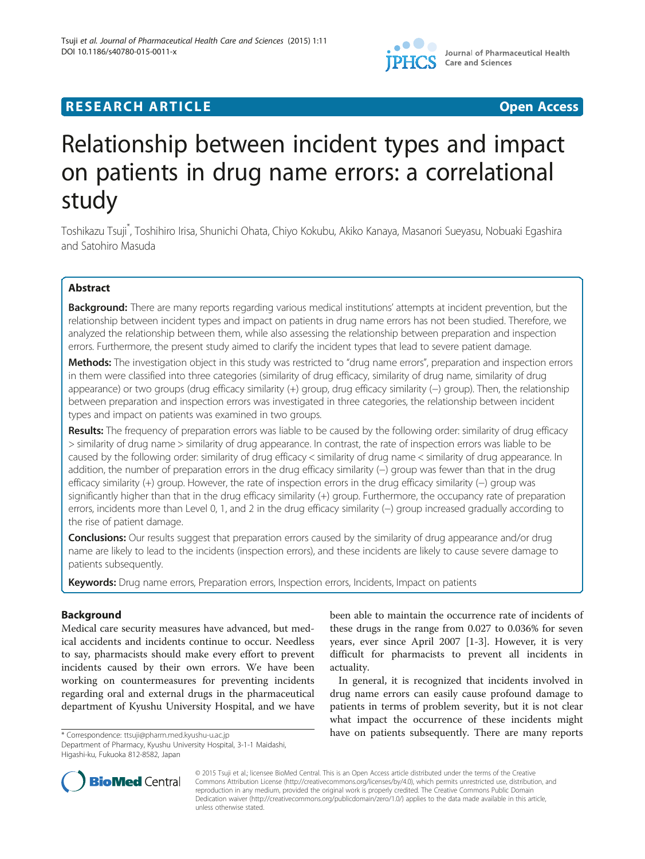

# **RESEARCH ARTICLE Example 2018 12:00 Department of the Contract Open Access**

# Relationship between incident types and impact on patients in drug name errors: a correlational study

Toshikazu Tsuji<sup>\*</sup>, Toshihiro Irisa, Shunichi Ohata, Chiyo Kokubu, Akiko Kanaya, Masanori Sueyasu, Nobuaki Egashira and Satohiro Masuda

# Abstract

Background: There are many reports regarding various medical institutions' attempts at incident prevention, but the relationship between incident types and impact on patients in drug name errors has not been studied. Therefore, we analyzed the relationship between them, while also assessing the relationship between preparation and inspection errors. Furthermore, the present study aimed to clarify the incident types that lead to severe patient damage.

Methods: The investigation object in this study was restricted to "drug name errors", preparation and inspection errors in them were classified into three categories (similarity of drug efficacy, similarity of drug name, similarity of drug appearance) or two groups (drug efficacy similarity (+) group, drug efficacy similarity (−) group). Then, the relationship between preparation and inspection errors was investigated in three categories, the relationship between incident types and impact on patients was examined in two groups.

Results: The frequency of preparation errors was liable to be caused by the following order: similarity of drug efficacy > similarity of drug name > similarity of drug appearance. In contrast, the rate of inspection errors was liable to be caused by the following order: similarity of drug efficacy < similarity of drug name < similarity of drug appearance. In addition, the number of preparation errors in the drug efficacy similarity (−) group was fewer than that in the drug efficacy similarity (+) group. However, the rate of inspection errors in the drug efficacy similarity (−) group was significantly higher than that in the drug efficacy similarity (+) group. Furthermore, the occupancy rate of preparation errors, incidents more than Level 0, 1, and 2 in the drug efficacy similarity (−) group increased gradually according to the rise of patient damage.

**Conclusions:** Our results suggest that preparation errors caused by the similarity of drug appearance and/or drug name are likely to lead to the incidents (inspection errors), and these incidents are likely to cause severe damage to patients subsequently.

Keywords: Drug name errors, Preparation errors, Inspection errors, Incidents, Impact on patients

# Background

Medical care security measures have advanced, but medical accidents and incidents continue to occur. Needless to say, pharmacists should make every effort to prevent incidents caused by their own errors. We have been working on countermeasures for preventing incidents regarding oral and external drugs in the pharmaceutical department of Kyushu University Hospital, and we have

Department of Pharmacy, Kyushu University Hospital, 3-1-1 Maidashi, Higashi-ku, Fukuoka 812-8582, Japan



In general, it is recognized that incidents involved in drug name errors can easily cause profound damage to patients in terms of problem severity, but it is not clear what impact the occurrence of these incidents might \* Correspondence: [ttsuji@pharm.med.kyushu-u.ac.jp](mailto:ttsuji@pharm.med.kyushu-u.ac.jp) have on patients subsequently. There are many reports



© 2015 Tsuji et al.; licensee BioMed Central. This is an Open Access article distributed under the terms of the Creative Commons Attribution License [\(http://creativecommons.org/licenses/by/4.0\)](http://creativecommons.org/licenses/by/4.0), which permits unrestricted use, distribution, and reproduction in any medium, provided the original work is properly credited. The Creative Commons Public Domain Dedication waiver [\(http://creativecommons.org/publicdomain/zero/1.0/](http://creativecommons.org/publicdomain/zero/1.0/)) applies to the data made available in this article, unless otherwise stated.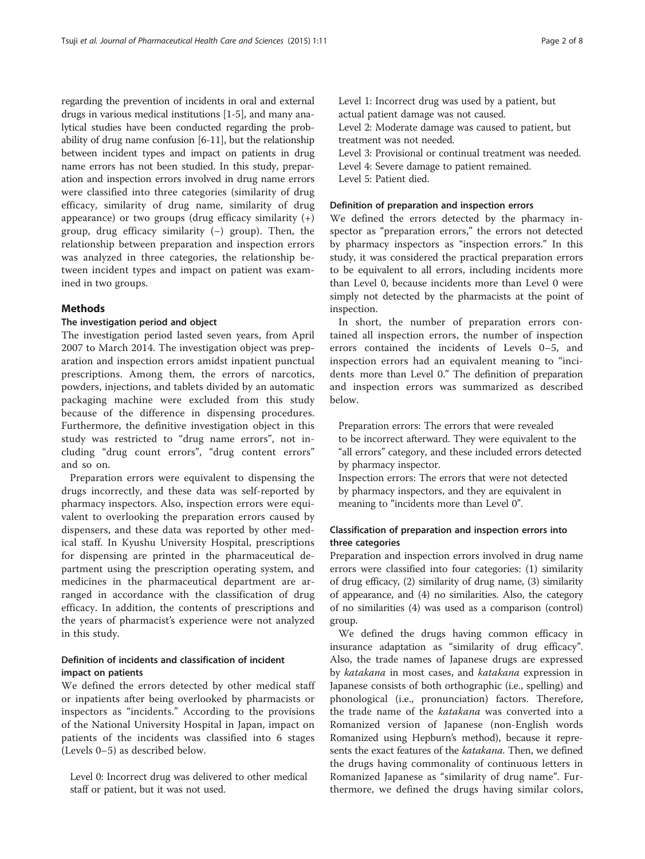regarding the prevention of incidents in oral and external drugs in various medical institutions [\[1-5](#page-7-0)], and many analytical studies have been conducted regarding the probability of drug name confusion [[6-11\]](#page-7-0), but the relationship between incident types and impact on patients in drug name errors has not been studied. In this study, preparation and inspection errors involved in drug name errors were classified into three categories (similarity of drug efficacy, similarity of drug name, similarity of drug appearance) or two groups (drug efficacy similarity (+) group, drug efficacy similarity  $(-)$  group). Then, the relationship between preparation and inspection errors was analyzed in three categories, the relationship between incident types and impact on patient was examined in two groups.

#### Methods

#### The investigation period and object

The investigation period lasted seven years, from April 2007 to March 2014. The investigation object was preparation and inspection errors amidst inpatient punctual prescriptions. Among them, the errors of narcotics, powders, injections, and tablets divided by an automatic packaging machine were excluded from this study because of the difference in dispensing procedures. Furthermore, the definitive investigation object in this study was restricted to "drug name errors", not including "drug count errors", "drug content errors" and so on.

Preparation errors were equivalent to dispensing the drugs incorrectly, and these data was self-reported by pharmacy inspectors. Also, inspection errors were equivalent to overlooking the preparation errors caused by dispensers, and these data was reported by other medical staff. In Kyushu University Hospital, prescriptions for dispensing are printed in the pharmaceutical department using the prescription operating system, and medicines in the pharmaceutical department are arranged in accordance with the classification of drug efficacy. In addition, the contents of prescriptions and the years of pharmacist's experience were not analyzed in this study.

# Definition of incidents and classification of incident impact on patients

We defined the errors detected by other medical staff or inpatients after being overlooked by pharmacists or inspectors as "incidents." According to the provisions of the National University Hospital in Japan, impact on patients of the incidents was classified into 6 stages (Levels 0–5) as described below.

Level 0: Incorrect drug was delivered to other medical staff or patient, but it was not used.

Level 1: Incorrect drug was used by a patient, but actual patient damage was not caused. Level 2: Moderate damage was caused to patient, but treatment was not needed. Level 3: Provisional or continual treatment was needed. Level 4: Severe damage to patient remained. Level 5: Patient died.

#### Definition of preparation and inspection errors

We defined the errors detected by the pharmacy inspector as "preparation errors," the errors not detected by pharmacy inspectors as "inspection errors." In this study, it was considered the practical preparation errors to be equivalent to all errors, including incidents more than Level 0, because incidents more than Level 0 were simply not detected by the pharmacists at the point of inspection.

In short, the number of preparation errors contained all inspection errors, the number of inspection errors contained the incidents of Levels 0–5, and inspection errors had an equivalent meaning to "incidents more than Level 0." The definition of preparation and inspection errors was summarized as described below.

Preparation errors: The errors that were revealed to be incorrect afterward. They were equivalent to the "all errors" category, and these included errors detected by pharmacy inspector.

Inspection errors: The errors that were not detected by pharmacy inspectors, and they are equivalent in meaning to "incidents more than Level 0".

### Classification of preparation and inspection errors into three categories

Preparation and inspection errors involved in drug name errors were classified into four categories: (1) similarity of drug efficacy, (2) similarity of drug name, (3) similarity of appearance, and (4) no similarities. Also, the category of no similarities (4) was used as a comparison (control) group.

We defined the drugs having common efficacy in insurance adaptation as "similarity of drug efficacy". Also, the trade names of Japanese drugs are expressed by katakana in most cases, and katakana expression in Japanese consists of both orthographic (i.e., spelling) and phonological (i.e., pronunciation) factors. Therefore, the trade name of the katakana was converted into a Romanized version of Japanese (non-English words Romanized using Hepburn's method), because it represents the exact features of the katakana. Then, we defined the drugs having commonality of continuous letters in Romanized Japanese as "similarity of drug name". Furthermore, we defined the drugs having similar colors,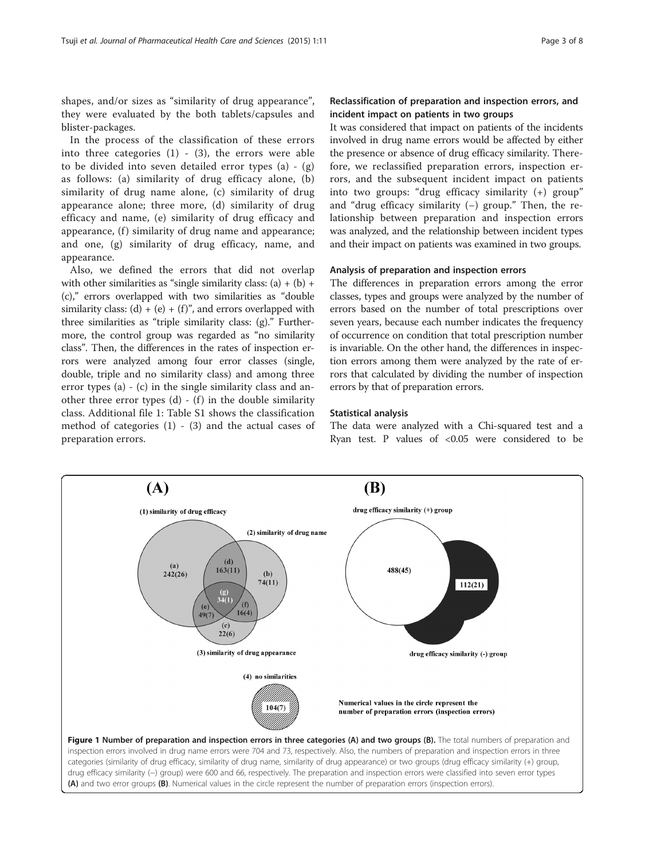<span id="page-2-0"></span>shapes, and/or sizes as "similarity of drug appearance", they were evaluated by the both tablets/capsules and blister-packages.

In the process of the classification of these errors into three categories  $(1)$  -  $(3)$ , the errors were able to be divided into seven detailed error types (a) - (g) as follows: (a) similarity of drug efficacy alone, (b) similarity of drug name alone, (c) similarity of drug appearance alone; three more, (d) similarity of drug efficacy and name, (e) similarity of drug efficacy and appearance, (f) similarity of drug name and appearance; and one, (g) similarity of drug efficacy, name, and appearance.

Also, we defined the errors that did not overlap with other similarities as "single similarity class:  $(a) + (b) +$ (c)," errors overlapped with two similarities as "double similarity class: (d) + (e) + (f)", and errors overlapped with three similarities as "triple similarity class: (g)." Furthermore, the control group was regarded as "no similarity class". Then, the differences in the rates of inspection errors were analyzed among four error classes (single, double, triple and no similarity class) and among three error types (a) - (c) in the single similarity class and another three error types  $(d)$  -  $(f)$  in the double similarity class. Additional file [1](#page-7-0): Table S1 shows the classification method of categories  $(1)$  -  $(3)$  and the actual cases of preparation errors.

# Reclassification of preparation and inspection errors, and incident impact on patients in two groups

It was considered that impact on patients of the incidents involved in drug name errors would be affected by either the presence or absence of drug efficacy similarity. Therefore, we reclassified preparation errors, inspection errors, and the subsequent incident impact on patients into two groups: "drug efficacy similarity (+) group" and "drug efficacy similarity (−) group." Then, the relationship between preparation and inspection errors was analyzed, and the relationship between incident types and their impact on patients was examined in two groups.

#### Analysis of preparation and inspection errors

The differences in preparation errors among the error classes, types and groups were analyzed by the number of errors based on the number of total prescriptions over seven years, because each number indicates the frequency of occurrence on condition that total prescription number is invariable. On the other hand, the differences in inspection errors among them were analyzed by the rate of errors that calculated by dividing the number of inspection errors by that of preparation errors.

#### Statistical analysis

The data were analyzed with a Chi-squared test and a Ryan test. P values of  $< 0.05$  were considered to be



(A) and two error groups (B). Numerical values in the circle represent the number of preparation errors (inspection errors).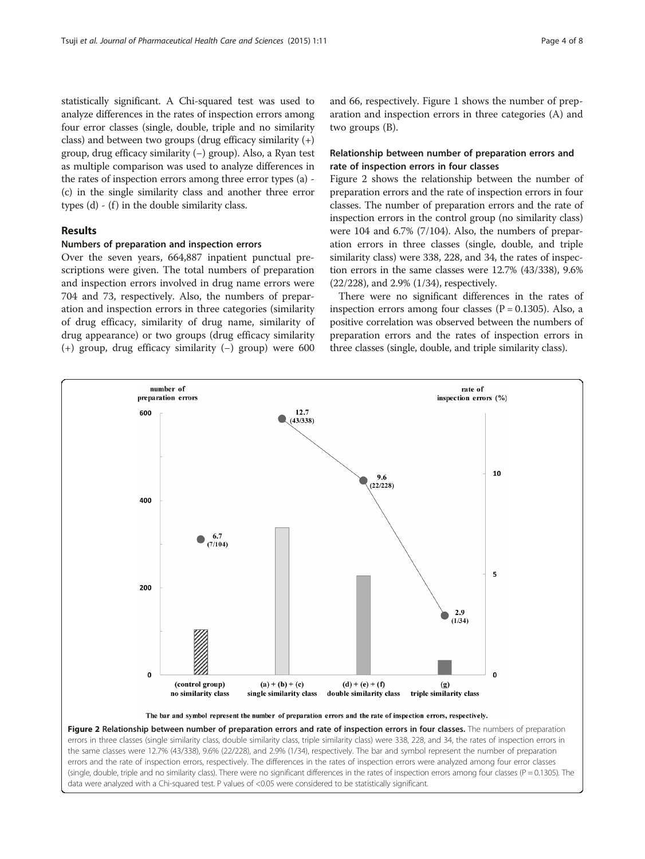statistically significant. A Chi-squared test was used to analyze differences in the rates of inspection errors among four error classes (single, double, triple and no similarity class) and between two groups (drug efficacy similarity (+) group, drug efficacy similarity (−) group). Also, a Ryan test as multiple comparison was used to analyze differences in the rates of inspection errors among three error types (a) - (c) in the single similarity class and another three error types  $(d)$  -  $(f)$  in the double similarity class.

#### Results

#### Numbers of preparation and inspection errors

Over the seven years, 664,887 inpatient punctual prescriptions were given. The total numbers of preparation and inspection errors involved in drug name errors were 704 and 73, respectively. Also, the numbers of preparation and inspection errors in three categories (similarity of drug efficacy, similarity of drug name, similarity of drug appearance) or two groups (drug efficacy similarity (+) group, drug efficacy similarity (−) group) were 600

and 66, respectively. Figure [1](#page-2-0) shows the number of preparation and inspection errors in three categories (A) and two groups (B).

#### Relationship between number of preparation errors and rate of inspection errors in four classes

Figure 2 shows the relationship between the number of preparation errors and the rate of inspection errors in four classes. The number of preparation errors and the rate of inspection errors in the control group (no similarity class) were 104 and 6.7% (7/104). Also, the numbers of preparation errors in three classes (single, double, and triple similarity class) were 338, 228, and 34, the rates of inspection errors in the same classes were 12.7% (43/338), 9.6% (22/228), and 2.9% (1/34), respectively.

There were no significant differences in the rates of inspection errors among four classes  $(P = 0.1305)$ . Also, a positive correlation was observed between the numbers of preparation errors and the rates of inspection errors in three classes (single, double, and triple similarity class).



Figure 2 Relationship between number of preparation errors and rate of inspection errors in four classes. The numbers of preparation errors in three classes (single similarity class, double similarity class, triple similarity class) were 338, 228, and 34, the rates of inspection errors in the same classes were 12.7% (43/338), 9.6% (22/228), and 2.9% (1/34), respectively. The bar and symbol represent the number of preparation errors and the rate of inspection errors, respectively. The differences in the rates of inspection errors were analyzed among four error classes (single, double, triple and no similarity class). There were no significant differences in the rates of inspection errors among four classes (P = 0.1305). The data were analyzed with a Chi-squared test. P values of <0.05 were considered to be statistically significant.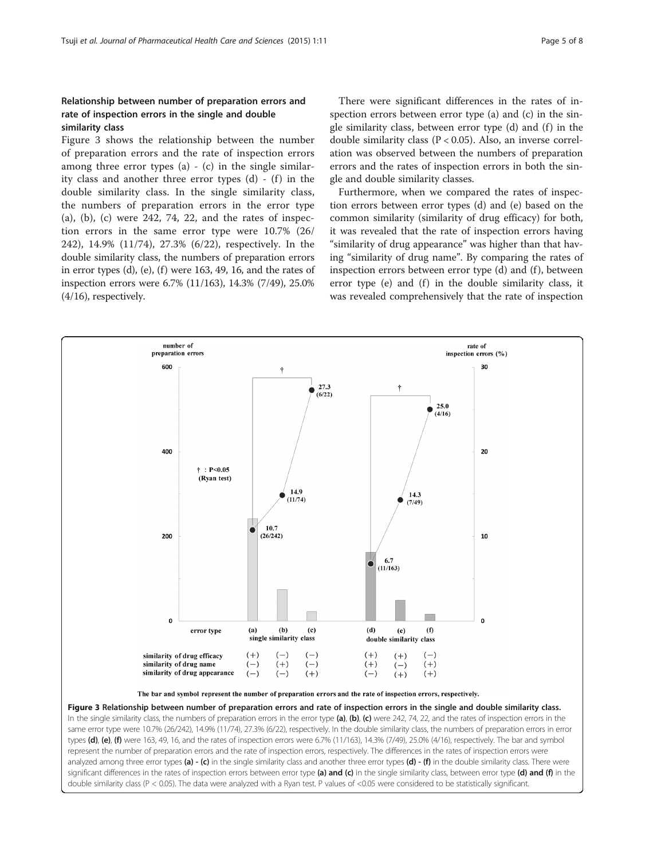# Relationship between number of preparation errors and rate of inspection errors in the single and double similarity class

Figure 3 shows the relationship between the number of preparation errors and the rate of inspection errors among three error types  $(a) - (c)$  in the single similarity class and another three error types  $(d)$  -  $(f)$  in the double similarity class. In the single similarity class, the numbers of preparation errors in the error type (a), (b), (c) were 242, 74, 22, and the rates of inspection errors in the same error type were 10.7% (26/ 242), 14.9% (11/74), 27.3% (6/22), respectively. In the double similarity class, the numbers of preparation errors in error types  $(d)$ ,  $(e)$ ,  $(f)$  were 163, 49, 16, and the rates of inspection errors were 6.7% (11/163), 14.3% (7/49), 25.0% (4/16), respectively.

There were significant differences in the rates of inspection errors between error type (a) and (c) in the single similarity class, between error type (d) and (f) in the double similarity class (P < 0.05). Also, an inverse correlation was observed between the numbers of preparation errors and the rates of inspection errors in both the single and double similarity classes.

Furthermore, when we compared the rates of inspection errors between error types (d) and (e) based on the common similarity (similarity of drug efficacy) for both, it was revealed that the rate of inspection errors having "similarity of drug appearance" was higher than that having "similarity of drug name". By comparing the rates of inspection errors between error type (d) and (f), between error type  $(e)$  and  $(f)$  in the double similarity class, it was revealed comprehensively that the rate of inspection



In the single similarity class, the numbers of preparation errors in the error type (a), (b), (c) were  $242$ , 74, 22, and the rates of inspection errors in the same error type were 10.7% (26/242), 14.9% (11/74), 27.3% (6/22), respectively. In the double similarity class, the numbers of preparation errors in error types (d), (e), (f) were 163, 49, 16, and the rates of inspection errors were 6.7% (11/163), 14.3% (7/49), 25.0% (4/16), respectively. The bar and symbol represent the number of preparation errors and the rate of inspection errors, respectively. The differences in the rates of inspection errors were analyzed among three error types (a) - (c) in the single similarity class and another three error types (d) - (f) in the double similarity class. There were significant differences in the rates of inspection errors between error type (a) and (c) in the single similarity class, between error type (d) and (f) in the double similarity class (P < 0.05). The data were analyzed with a Ryan test. P values of <0.05 were considered to be statistically significant.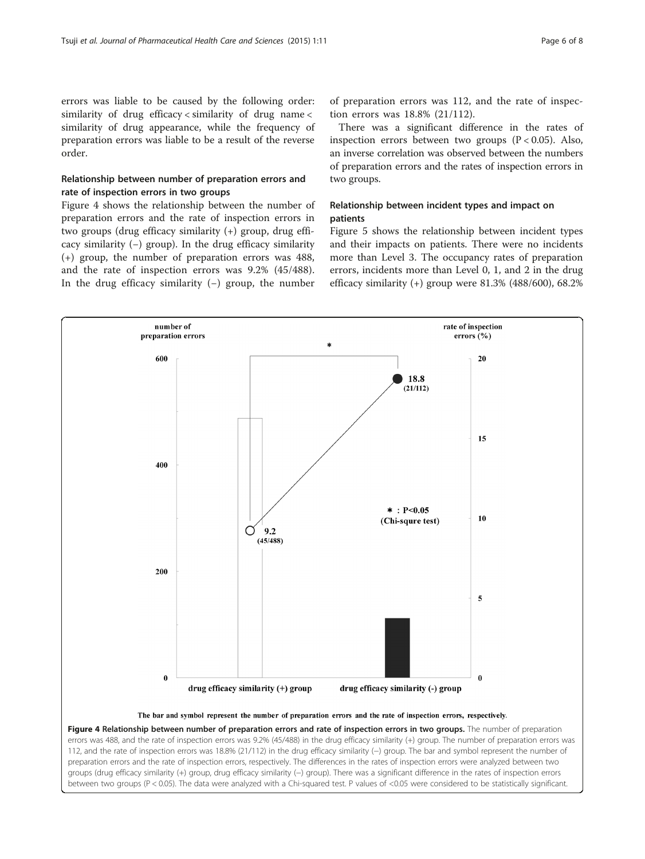errors was liable to be caused by the following order: similarity of drug efficacy < similarity of drug name < similarity of drug appearance, while the frequency of preparation errors was liable to be a result of the reverse order.

#### Relationship between number of preparation errors and rate of inspection errors in two groups

Figure 4 shows the relationship between the number of preparation errors and the rate of inspection errors in two groups (drug efficacy similarity (+) group, drug efficacy similarity (−) group). In the drug efficacy similarity (+) group, the number of preparation errors was 488, and the rate of inspection errors was 9.2% (45/488). In the drug efficacy similarity  $(-)$  group, the number

of preparation errors was 112, and the rate of inspection errors was 18.8% (21/112).

There was a significant difference in the rates of inspection errors between two groups  $(P < 0.05)$ . Also, an inverse correlation was observed between the numbers of preparation errors and the rates of inspection errors in two groups.

# Relationship between incident types and impact on patients

Figure [5](#page-6-0) shows the relationship between incident types and their impacts on patients. There were no incidents more than Level 3. The occupancy rates of preparation errors, incidents more than Level 0, 1, and 2 in the drug efficacy similarity (+) group were 81.3% (488/600), 68.2%



errors was 488, and the rate of inspection errors was 9.2% (45/488) in the drug efficacy similarity (+) group. The number of preparation errors was 112, and the rate of inspection errors was 18.8% (21/112) in the drug efficacy similarity (−) group. The bar and symbol represent the number of preparation errors and the rate of inspection errors, respectively. The differences in the rates of inspection errors were analyzed between two groups (drug efficacy similarity (+) group, drug efficacy similarity (−) group). There was a significant difference in the rates of inspection errors between two groups (P < 0.05). The data were analyzed with a Chi-squared test. P values of <0.05 were considered to be statistically significant.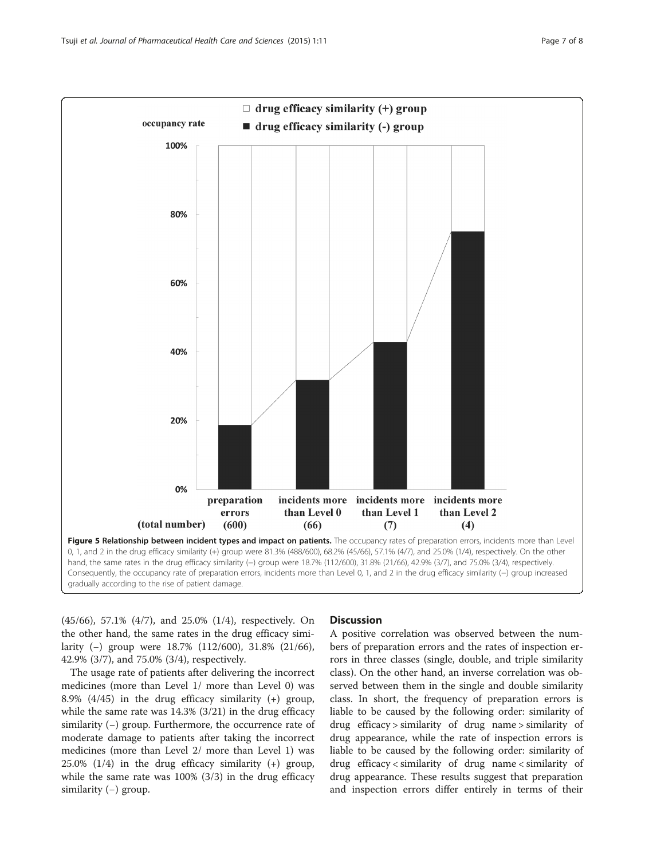<span id="page-6-0"></span>

(45/66), 57.1% (4/7), and 25.0% (1/4), respectively. On the other hand, the same rates in the drug efficacy similarity (−) group were 18.7% (112/600), 31.8% (21/66), 42.9% (3/7), and 75.0% (3/4), respectively.

The usage rate of patients after delivering the incorrect medicines (more than Level 1/ more than Level 0) was 8.9% (4/45) in the drug efficacy similarity (+) group, while the same rate was 14.3% (3/21) in the drug efficacy similarity (−) group. Furthermore, the occurrence rate of moderate damage to patients after taking the incorrect medicines (more than Level 2/ more than Level 1) was  $25.0\%$  (1/4) in the drug efficacy similarity (+) group, while the same rate was 100% (3/3) in the drug efficacy similarity (−) group.

#### **Discussion**

A positive correlation was observed between the numbers of preparation errors and the rates of inspection errors in three classes (single, double, and triple similarity class). On the other hand, an inverse correlation was observed between them in the single and double similarity class. In short, the frequency of preparation errors is liable to be caused by the following order: similarity of drug efficacy > similarity of drug name > similarity of drug appearance, while the rate of inspection errors is liable to be caused by the following order: similarity of drug efficacy < similarity of drug name < similarity of drug appearance. These results suggest that preparation and inspection errors differ entirely in terms of their